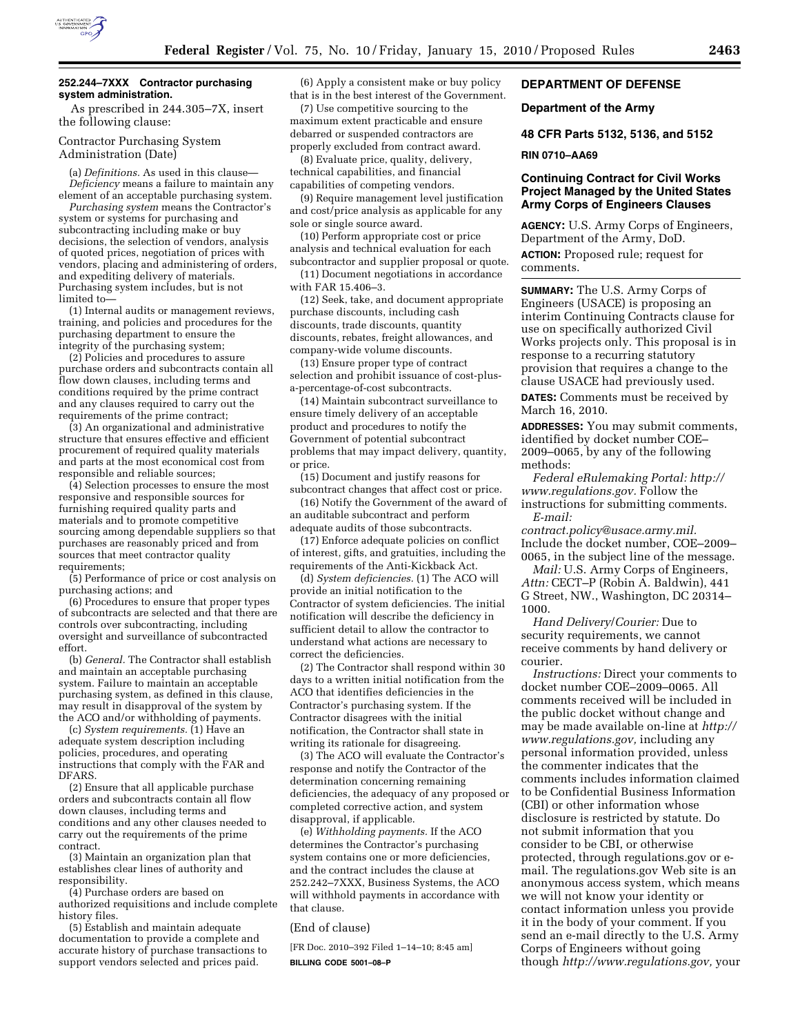

### **252.244–7XXX Contractor purchasing system administration.**

As prescribed in 244.305–7X, insert the following clause:

### Contractor Purchasing System Administration (Date)

(a) *Definitions.* As used in this clause— *Deficiency* means a failure to maintain any element of an acceptable purchasing system.

*Purchasing system* means the Contractor's system or systems for purchasing and subcontracting including make or buy decisions, the selection of vendors, analysis of quoted prices, negotiation of prices with vendors, placing and administering of orders, and expediting delivery of materials. Purchasing system includes, but is not limited to—

(1) Internal audits or management reviews, training, and policies and procedures for the purchasing department to ensure the integrity of the purchasing system;

(2) Policies and procedures to assure purchase orders and subcontracts contain all flow down clauses, including terms and conditions required by the prime contract and any clauses required to carry out the requirements of the prime contract;

(3) An organizational and administrative structure that ensures effective and efficient procurement of required quality materials and parts at the most economical cost from responsible and reliable sources;

(4) Selection processes to ensure the most responsive and responsible sources for furnishing required quality parts and materials and to promote competitive sourcing among dependable suppliers so that purchases are reasonably priced and from sources that meet contractor quality requirements;

(5) Performance of price or cost analysis on purchasing actions; and

(6) Procedures to ensure that proper types of subcontracts are selected and that there are controls over subcontracting, including oversight and surveillance of subcontracted effort.

(b) *General.* The Contractor shall establish and maintain an acceptable purchasing system. Failure to maintain an acceptable purchasing system, as defined in this clause, may result in disapproval of the system by the ACO and/or withholding of payments.

(c) *System requirements.* (1) Have an adequate system description including policies, procedures, and operating instructions that comply with the FAR and DFARS.

(2) Ensure that all applicable purchase orders and subcontracts contain all flow down clauses, including terms and conditions and any other clauses needed to carry out the requirements of the prime contract.

(3) Maintain an organization plan that establishes clear lines of authority and responsibility.

(4) Purchase orders are based on authorized requisitions and include complete history files.

(5) Establish and maintain adequate documentation to provide a complete and accurate history of purchase transactions to support vendors selected and prices paid.

(6) Apply a consistent make or buy policy that is in the best interest of the Government.

(7) Use competitive sourcing to the maximum extent practicable and ensure debarred or suspended contractors are properly excluded from contract award.

(8) Evaluate price, quality, delivery, technical capabilities, and financial capabilities of competing vendors.

(9) Require management level justification and cost/price analysis as applicable for any sole or single source award.

(10) Perform appropriate cost or price analysis and technical evaluation for each subcontractor and supplier proposal or quote.

(11) Document negotiations in accordance with FAR 15.406–3.

(12) Seek, take, and document appropriate purchase discounts, including cash discounts, trade discounts, quantity discounts, rebates, freight allowances, and company-wide volume discounts.

(13) Ensure proper type of contract selection and prohibit issuance of cost-plusa-percentage-of-cost subcontracts.

(14) Maintain subcontract surveillance to ensure timely delivery of an acceptable product and procedures to notify the Government of potential subcontract problems that may impact delivery, quantity, or price.

(15) Document and justify reasons for subcontract changes that affect cost or price.

(16) Notify the Government of the award of an auditable subcontract and perform adequate audits of those subcontracts.

(17) Enforce adequate policies on conflict of interest, gifts, and gratuities, including the requirements of the Anti-Kickback Act.

(d) *System deficiencies.* (1) The ACO will provide an initial notification to the Contractor of system deficiencies. The initial notification will describe the deficiency in sufficient detail to allow the contractor to understand what actions are necessary to correct the deficiencies.

(2) The Contractor shall respond within 30 days to a written initial notification from the ACO that identifies deficiencies in the Contractor's purchasing system. If the Contractor disagrees with the initial notification, the Contractor shall state in writing its rationale for disagreeing.

(3) The ACO will evaluate the Contractor's response and notify the Contractor of the determination concerning remaining deficiencies, the adequacy of any proposed or completed corrective action, and system disapproval, if applicable.

(e) *Withholding payments.* If the ACO determines the Contractor's purchasing system contains one or more deficiencies, and the contract includes the clause at 252.242–7XXX, Business Systems, the ACO will withhold payments in accordance with that clause.

### (End of clause)

[FR Doc. 2010–392 Filed 1–14–10; 8:45 am] **BILLING CODE 5001–08–P** 

## **DEPARTMENT OF DEFENSE**

#### **Department of the Army**

**48 CFR Parts 5132, 5136, and 5152** 

#### **RIN 0710–AA69**

# **Continuing Contract for Civil Works Project Managed by the United States Army Corps of Engineers Clauses**

**AGENCY:** U.S. Army Corps of Engineers, Department of the Army, DoD. **ACTION:** Proposed rule; request for comments.

**SUMMARY:** The U.S. Army Corps of Engineers (USACE) is proposing an interim Continuing Contracts clause for use on specifically authorized Civil Works projects only. This proposal is in response to a recurring statutory provision that requires a change to the clause USACE had previously used.

**DATES:** Comments must be received by March 16, 2010.

**ADDRESSES:** You may submit comments, identified by docket number COE– 2009–0065, by any of the following methods:

*Federal eRulemaking Portal: http:// www.regulations.gov.* Follow the instructions for submitting comments. *E-mail:* 

*contract.policy@usace.army.mil.*  Include the docket number, COE–2009– 0065, in the subject line of the message.

*Mail:* U.S. Army Corps of Engineers, *Attn:* CECT–P (Robin A. Baldwin), 441 G Street, NW., Washington, DC 20314– 1000.

*Hand Delivery*/*Courier:* Due to security requirements, we cannot receive comments by hand delivery or courier.

*Instructions:* Direct your comments to docket number COE–2009–0065. All comments received will be included in the public docket without change and may be made available on-line at *http:// www.regulations.gov,* including any personal information provided, unless the commenter indicates that the comments includes information claimed to be Confidential Business Information (CBI) or other information whose disclosure is restricted by statute. Do not submit information that you consider to be CBI, or otherwise protected, through regulations.gov or email. The regulations.gov Web site is an anonymous access system, which means we will not know your identity or contact information unless you provide it in the body of your comment. If you send an e-mail directly to the U.S. Army Corps of Engineers without going though *http://www.regulations.gov,* your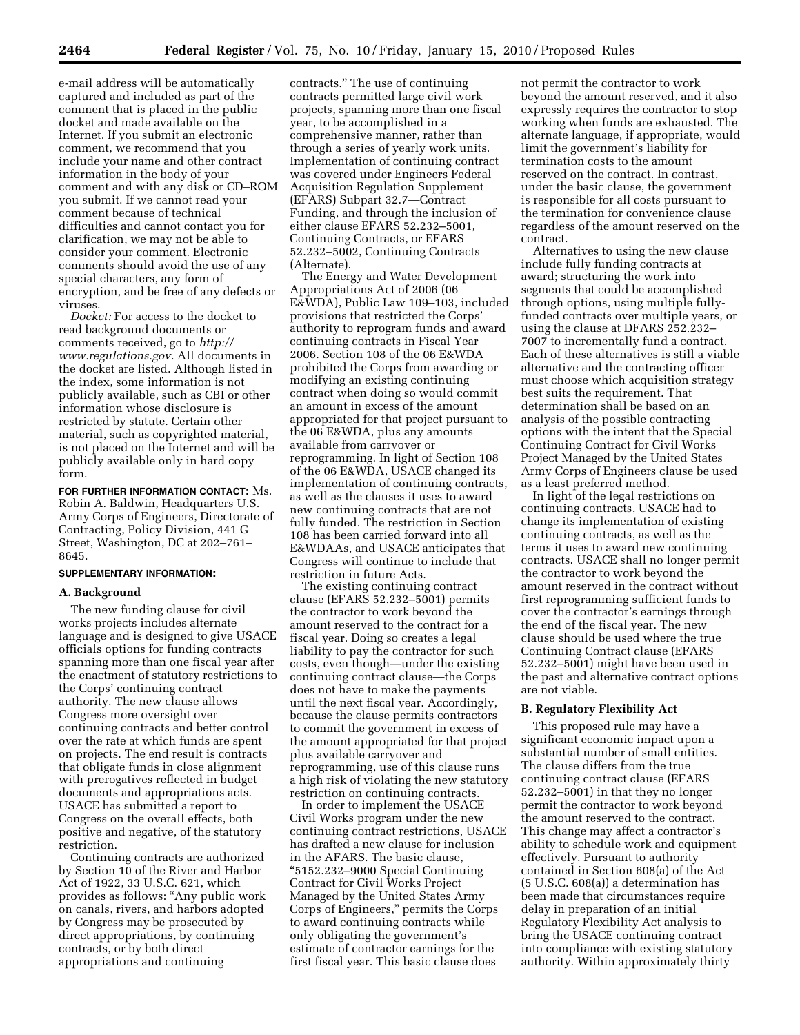e-mail address will be automatically captured and included as part of the comment that is placed in the public docket and made available on the Internet. If you submit an electronic comment, we recommend that you include your name and other contract information in the body of your comment and with any disk or CD–ROM you submit. If we cannot read your comment because of technical difficulties and cannot contact you for clarification, we may not be able to consider your comment. Electronic comments should avoid the use of any special characters, any form of encryption, and be free of any defects or viruses.

*Docket:* For access to the docket to read background documents or comments received, go to *http:// www.regulations.gov.* All documents in the docket are listed. Although listed in the index, some information is not publicly available, such as CBI or other information whose disclosure is restricted by statute. Certain other material, such as copyrighted material, is not placed on the Internet and will be publicly available only in hard copy form.

**FOR FURTHER INFORMATION CONTACT:** Ms. Robin A. Baldwin, Headquarters U.S. Army Corps of Engineers, Directorate of Contracting, Policy Division, 441 G Street, Washington, DC at 202–761– 8645.

# **SUPPLEMENTARY INFORMATION:**

### **A. Background**

The new funding clause for civil works projects includes alternate language and is designed to give USACE officials options for funding contracts spanning more than one fiscal year after the enactment of statutory restrictions to the Corps' continuing contract authority. The new clause allows Congress more oversight over continuing contracts and better control over the rate at which funds are spent on projects. The end result is contracts that obligate funds in close alignment with prerogatives reflected in budget documents and appropriations acts. USACE has submitted a report to Congress on the overall effects, both positive and negative, of the statutory restriction.

Continuing contracts are authorized by Section 10 of the River and Harbor Act of 1922, 33 U.S.C. 621, which provides as follows: "Any public work on canals, rivers, and harbors adopted by Congress may be prosecuted by direct appropriations, by continuing contracts, or by both direct appropriations and continuing

contracts.'' The use of continuing contracts permitted large civil work projects, spanning more than one fiscal year, to be accomplished in a comprehensive manner, rather than through a series of yearly work units. Implementation of continuing contract was covered under Engineers Federal Acquisition Regulation Supplement (EFARS) Subpart 32.7—Contract Funding, and through the inclusion of either clause EFARS 52.232–5001, Continuing Contracts, or EFARS 52.232–5002, Continuing Contracts (Alternate).

The Energy and Water Development Appropriations Act of 2006 (06 E&WDA), Public Law 109–103, included provisions that restricted the Corps' authority to reprogram funds and award continuing contracts in Fiscal Year 2006. Section 108 of the 06 E&WDA prohibited the Corps from awarding or modifying an existing continuing contract when doing so would commit an amount in excess of the amount appropriated for that project pursuant to the 06 E&WDA, plus any amounts available from carryover or reprogramming. In light of Section 108 of the 06 E&WDA, USACE changed its implementation of continuing contracts, as well as the clauses it uses to award new continuing contracts that are not fully funded. The restriction in Section 108 has been carried forward into all E&WDAAs, and USACE anticipates that Congress will continue to include that restriction in future Acts.

The existing continuing contract clause (EFARS 52.232–5001) permits the contractor to work beyond the amount reserved to the contract for a fiscal year. Doing so creates a legal liability to pay the contractor for such costs, even though—under the existing continuing contract clause—the Corps does not have to make the payments until the next fiscal year. Accordingly, because the clause permits contractors to commit the government in excess of the amount appropriated for that project plus available carryover and reprogramming, use of this clause runs a high risk of violating the new statutory restriction on continuing contracts.

In order to implement the USACE Civil Works program under the new continuing contract restrictions, USACE has drafted a new clause for inclusion in the AFARS. The basic clause, ''5152.232–9000 Special Continuing Contract for Civil Works Project Managed by the United States Army Corps of Engineers,'' permits the Corps to award continuing contracts while only obligating the government's estimate of contractor earnings for the first fiscal year. This basic clause does

not permit the contractor to work beyond the amount reserved, and it also expressly requires the contractor to stop working when funds are exhausted. The alternate language, if appropriate, would limit the government's liability for termination costs to the amount reserved on the contract. In contrast, under the basic clause, the government is responsible for all costs pursuant to the termination for convenience clause regardless of the amount reserved on the contract.

Alternatives to using the new clause include fully funding contracts at award; structuring the work into segments that could be accomplished through options, using multiple fullyfunded contracts over multiple years, or using the clause at DFARS 252.232– 7007 to incrementally fund a contract. Each of these alternatives is still a viable alternative and the contracting officer must choose which acquisition strategy best suits the requirement. That determination shall be based on an analysis of the possible contracting options with the intent that the Special Continuing Contract for Civil Works Project Managed by the United States Army Corps of Engineers clause be used as a least preferred method.

In light of the legal restrictions on continuing contracts, USACE had to change its implementation of existing continuing contracts, as well as the terms it uses to award new continuing contracts. USACE shall no longer permit the contractor to work beyond the amount reserved in the contract without first reprogramming sufficient funds to cover the contractor's earnings through the end of the fiscal year. The new clause should be used where the true Continuing Contract clause (EFARS 52.232–5001) might have been used in the past and alternative contract options are not viable.

### **B. Regulatory Flexibility Act**

This proposed rule may have a significant economic impact upon a substantial number of small entities. The clause differs from the true continuing contract clause (EFARS 52.232–5001) in that they no longer permit the contractor to work beyond the amount reserved to the contract. This change may affect a contractor's ability to schedule work and equipment effectively. Pursuant to authority contained in Section 608(a) of the Act (5 U.S.C. 608(a)) a determination has been made that circumstances require delay in preparation of an initial Regulatory Flexibility Act analysis to bring the USACE continuing contract into compliance with existing statutory authority. Within approximately thirty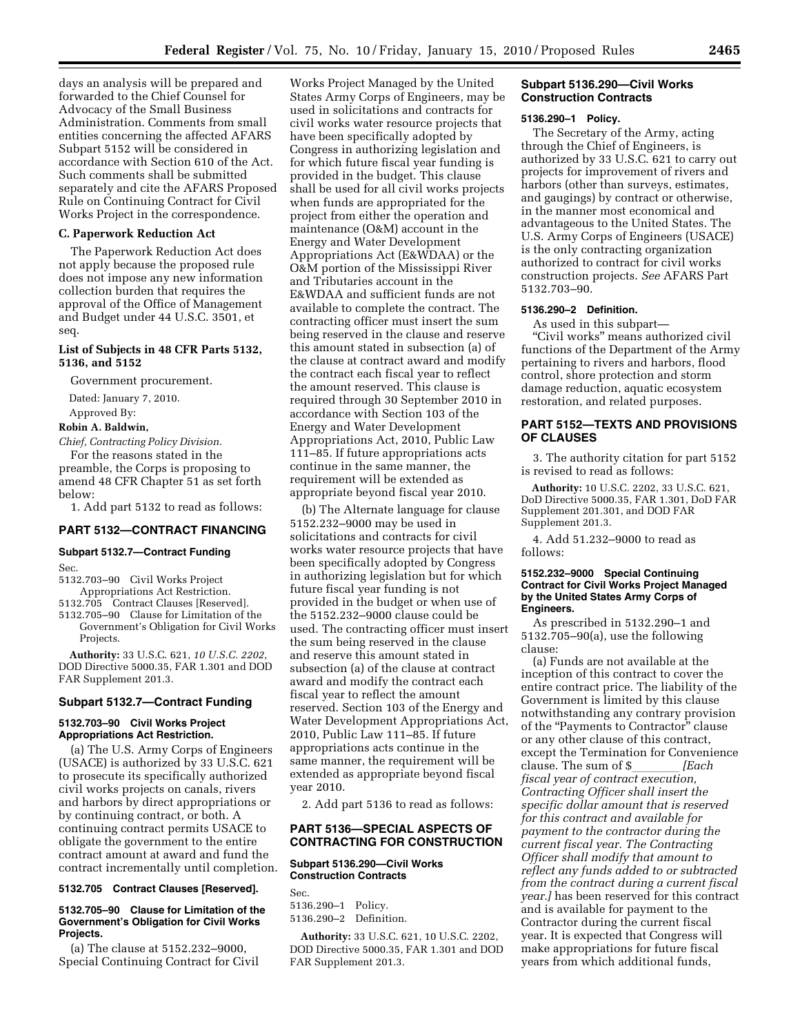days an analysis will be prepared and forwarded to the Chief Counsel for Advocacy of the Small Business Administration. Comments from small entities concerning the affected AFARS Subpart 5152 will be considered in accordance with Section 610 of the Act. Such comments shall be submitted separately and cite the AFARS Proposed Rule on Continuing Contract for Civil Works Project in the correspondence.

### **C. Paperwork Reduction Act**

The Paperwork Reduction Act does not apply because the proposed rule does not impose any new information collection burden that requires the approval of the Office of Management and Budget under 44 U.S.C. 3501, et seq.

### **List of Subjects in 48 CFR Parts 5132, 5136, and 5152**

Government procurement.

Dated: January 7, 2010.

Approved By:

## **Robin A. Baldwin,**

*Chief, Contracting Policy Division.* 

For the reasons stated in the preamble, the Corps is proposing to amend 48 CFR Chapter 51 as set forth below:

1. Add part 5132 to read as follows:

### **PART 5132—CONTRACT FINANCING**

#### **Subpart 5132.7—Contract Funding**

Sec.

5132.703–90 Civil Works Project Appropriations Act Restriction.

5132.705 Contract Clauses [Reserved].

5132.705–90 Clause for Limitation of the Government's Obligation for Civil Works Projects.

**Authority:** 33 U.S.C. 621, *10 U.S.C. 2202,*  DOD Directive 5000.35, FAR 1.301 and DOD FAR Supplement 201.3.

### **Subpart 5132.7—Contract Funding**

### **5132.703–90 Civil Works Project Appropriations Act Restriction.**

(a) The U.S. Army Corps of Engineers (USACE) is authorized by 33 U.S.C. 621 to prosecute its specifically authorized civil works projects on canals, rivers and harbors by direct appropriations or by continuing contract, or both. A continuing contract permits USACE to obligate the government to the entire contract amount at award and fund the contract incrementally until completion.

### **5132.705 Contract Clauses [Reserved].**

#### **5132.705–90 Clause for Limitation of the Government's Obligation for Civil Works Projects.**

(a) The clause at 5152.232–9000, Special Continuing Contract for Civil

Works Project Managed by the United States Army Corps of Engineers, may be used in solicitations and contracts for civil works water resource projects that have been specifically adopted by Congress in authorizing legislation and for which future fiscal year funding is provided in the budget. This clause shall be used for all civil works projects when funds are appropriated for the project from either the operation and maintenance (O&M) account in the Energy and Water Development Appropriations Act (E&WDAA) or the O&M portion of the Mississippi River and Tributaries account in the E&WDAA and sufficient funds are not available to complete the contract. The contracting officer must insert the sum being reserved in the clause and reserve this amount stated in subsection (a) of the clause at contract award and modify the contract each fiscal year to reflect the amount reserved. This clause is required through 30 September 2010 in accordance with Section 103 of the Energy and Water Development Appropriations Act, 2010, Public Law 111–85. If future appropriations acts continue in the same manner, the requirement will be extended as appropriate beyond fiscal year 2010.

(b) The Alternate language for clause 5152.232–9000 may be used in solicitations and contracts for civil works water resource projects that have been specifically adopted by Congress in authorizing legislation but for which future fiscal year funding is not provided in the budget or when use of the 5152.232–9000 clause could be used. The contracting officer must insert the sum being reserved in the clause and reserve this amount stated in subsection (a) of the clause at contract award and modify the contract each fiscal year to reflect the amount reserved. Section 103 of the Energy and Water Development Appropriations Act, 2010, Public Law 111–85. If future appropriations acts continue in the same manner, the requirement will be extended as appropriate beyond fiscal year 2010.

2. Add part 5136 to read as follows:

### **PART 5136—SPECIAL ASPECTS OF CONTRACTING FOR CONSTRUCTION**

### **Subpart 5136.290—Civil Works Construction Contracts**

Sec. 5136.290–1 Policy.

| 5136.290-1 PONCY.      |  |
|------------------------|--|
| 5136.290–2 Definition. |  |

**Authority:** 33 U.S.C. 621, 10 U.S.C. 2202, DOD Directive 5000.35, FAR 1.301 and DOD FAR Supplement 201.3.

#### **Subpart 5136.290—Civil Works Construction Contracts**

#### **5136.290–1 Policy.**

The Secretary of the Army, acting through the Chief of Engineers, is authorized by 33 U.S.C. 621 to carry out projects for improvement of rivers and harbors (other than surveys, estimates, and gaugings) by contract or otherwise, in the manner most economical and advantageous to the United States. The U.S. Army Corps of Engineers (USACE) is the only contracting organization authorized to contract for civil works construction projects. *See* AFARS Part 5132.703–90.

### **5136.290–2 Definition.**

As used in this subpart— ''Civil works'' means authorized civil functions of the Department of the Army pertaining to rivers and harbors, flood control, shore protection and storm damage reduction, aquatic ecosystem restoration, and related purposes.

## **PART 5152—TEXTS AND PROVISIONS OF CLAUSES**

3. The authority citation for part 5152 is revised to read as follows:

**Authority:** 10 U.S.C. 2202, 33 U.S.C. 621, DoD Directive 5000.35, FAR 1.301, DoD FAR Supplement 201.301, and DOD FAR Supplement 201.3.

4. Add 51.232–9000 to read as follows:

#### **5152.232–9000 Special Continuing Contract for Civil Works Project Managed by the United States Army Corps of Engineers.**

As prescribed in 5132.290–1 and 5132.705–90(a), use the following clause:

(a) Funds are not available at the inception of this contract to cover the entire contract price. The liability of the Government is limited by this clause notwithstanding any contrary provision of the ''Payments to Contractor'' clause or any other clause of this contract, except the Termination for Convenience clause. The sum of \$\_*\_\_\_\_\_\_ [Each*<br>*fiscal year of contract execution, Contracting Officer shall insert the specific dollar amount that is reserved for this contract and available for payment to the contractor during the current fiscal year. The Contracting Officer shall modify that amount to reflect any funds added to or subtracted from the contract during a current fiscal year.]* has been reserved for this contract and is available for payment to the Contractor during the current fiscal year. It is expected that Congress will make appropriations for future fiscal years from which additional funds,